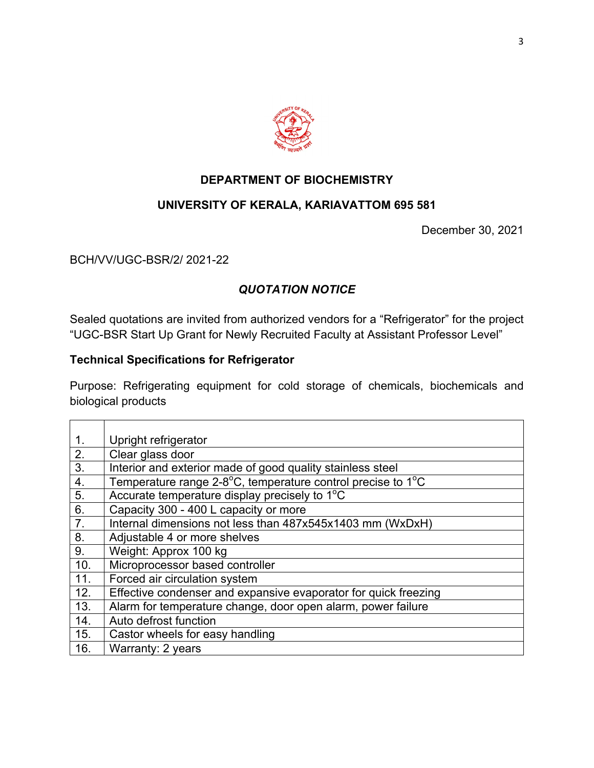

#### **DEPARTMENT OF BIOCHEMISTRY**

# **UNIVERSITY OF KERALA, KARIAVATTOM 695 581**

December 30, 2021

#### BCH/VV/UGC-BSR/2/ 2021-22

# *QUOTATION NOTICE*

Sealed quotations are invited from authorized vendors for a "Refrigerator" for the project "UGC-BSR Start Up Grant for Newly Recruited Faculty at Assistant Professor Level"

# **Technical Specifications for Refrigerator**

Purpose: Refrigerating equipment for cold storage of chemicals, biochemicals and biological products

| 1 <sub>1</sub> | Upright refrigerator                                            |
|----------------|-----------------------------------------------------------------|
| 2.             | Clear glass door                                                |
| 3.             | Interior and exterior made of good quality stainless steel      |
| 4.             | Temperature range 2-8°C, temperature control precise to 1°C     |
| 5.             | Accurate temperature display precisely to 1 <sup>°</sup> C      |
| 6.             | Capacity 300 - 400 L capacity or more                           |
| 7.             | Internal dimensions not less than 487x545x1403 mm (WxDxH)       |
| 8.             | Adjustable 4 or more shelves                                    |
| 9.             | Weight: Approx 100 kg                                           |
| 10.            | Microprocessor based controller                                 |
| 11.            | Forced air circulation system                                   |
| 12.            | Effective condenser and expansive evaporator for quick freezing |
| 13.            | Alarm for temperature change, door open alarm, power failure    |
| 14.            | Auto defrost function                                           |
| 15.            | Castor wheels for easy handling                                 |
| 16.            | Warranty: 2 years                                               |